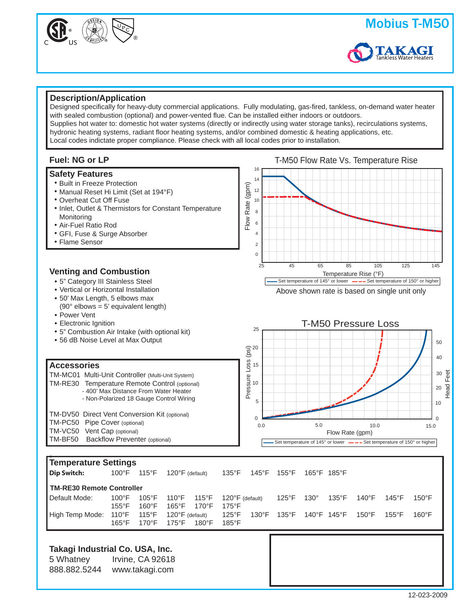



### **Description/Application**

Designed specifically for heavy-duty commercial applications. Fully modulating, gas-fired, tankless, on-demand water heater with sealed combustion (optional) and power-vented flue. Can be installed either indoors or outdoors. Supplies hot water to: domestic hot water systems (directly or indirectly using water storage tanks), recirculations systems, hydronic heating systems, radiant floor heating systems, and/or combined domestic & heating applications, etc. Local codes indictate proper compliance. Please check with all local codes prior to installation.



#### **Safety Features**

- **Built in Freeze Protection**
- **Manual Reset Hi Limit (Set at 194°F)**
- Overheat Cut Off Fuse **•**
- **Inlet, Outlet & Thermistors for Constant Temperature** Monitoring
- Air-Fuel Ratio Rod **•**
- GFI, Fuse & Surge Absorber **•**
- Flame Sensor **•**

## **Venting and Combustion**

- 5" Category III Stainless Steel **•**
- Vertical or Horizontal Installation **•**
- 50' Max Length, 5 elbows max **•**
- (90 $\degree$  elbows = 5' equivalent length)
- Power Vent **•**
- Electronic Ignition **•**
- 5" Combustion Air Intake (with optional kit) **•**
- 56 dB Noise Level at Max Output **•**

#### **Accessories**

**r≤** 

| TM-MC01 Multi-Unit Controller (Multi-Unit System) |
|---------------------------------------------------|
| TM-RE30 Temperature Remote Control (optional)     |
| - 400' Max Distance From Water Heater             |
| - Non-Polarized 18 Gauge Control Wiring           |
|                                                   |

| TM-DV50 Direct Vent Conversion Kit (optional) |
|-----------------------------------------------|
| TM-PC50 Pipe Cover (optional)                 |
| TM-VC50 Vent Cap (optional)                   |
| TM-BF50 Backflow Preventer (optional)         |



| Temperature Settings            |                 |                 |                           |                 |                           |                 |                 |             |                 |                 |                 |                 |  |
|---------------------------------|-----------------|-----------------|---------------------------|-----------------|---------------------------|-----------------|-----------------|-------------|-----------------|-----------------|-----------------|-----------------|--|
| Dip Switch:                     | $100^{\circ}$ F | $115^{\circ}$ F | $120^{\circ}$ F (default) |                 | $135^{\circ}$ F           | 145°F           | $155^{\circ}$ F |             | 165°F 185°F     |                 |                 |                 |  |
| TM-RE30 Remote Controller       |                 |                 |                           |                 |                           |                 |                 |             |                 |                 |                 |                 |  |
| Default Mode:                   | $100^{\circ}$ F | $105^{\circ}$ F | 110°F                     | 115°F           | $120^{\circ}$ F (default) |                 | $125^{\circ}$ F | $130^\circ$ | $135^{\circ}$ F | 140°F           | $145^{\circ}$ F | $150^{\circ}$ F |  |
|                                 | $155^{\circ}$ F | $160^{\circ}$ F | $165^{\circ}$ F           | $170^{\circ}$ F | $175^{\circ}$ F           |                 |                 |             |                 |                 |                 |                 |  |
| High Temp Mode:                 | 110°F           | $115^{\circ}$ F | $120^{\circ}$ F (default) |                 | $125^{\circ}$ F           | $130^{\circ}$ F | 135°F           | 140°F 145°F |                 | $150^{\circ}$ F | $155^{\circ}$ F | $160^{\circ}$ F |  |
|                                 | $165^{\circ}$ F | 170°F           | 175°F                     | $180^{\circ}$ F | $185^{\circ}$ F           |                 |                 |             |                 |                 |                 |                 |  |
|                                 |                 |                 |                           |                 |                           |                 |                 |             |                 |                 |                 |                 |  |
| Takagi Industrial Co. USA, Inc. |                 |                 |                           |                 |                           |                 |                 |             |                 |                 |                 |                 |  |

# 5 Whatney Irvine, CA 92618

888.882.5244 www.takagi.com